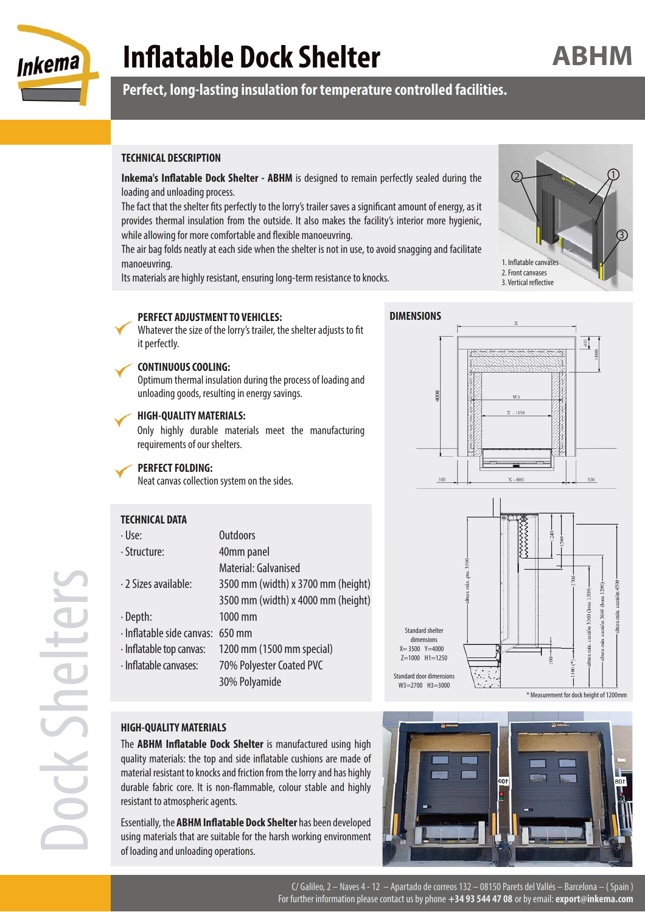

# **Inflatable Dock Shelter**

### **Perfect, long-lasting insulation for temperature controlled facilities.**

#### **TECHNICAL DESCRIPTION**

**Inkema's Inflatable Dock Shelter - ABHM** is designed to remain perfectly sealed during the loading and unloading process.

The fact that the shelter fits perfectly to the lorry's trailer saves a significant amount of energy, as it provides thermal insulation from the outside. It also makes the facility's interior more hygienic, while allowing for more comfortable and flexible manoeuvring.

The air bag folds neatly at each side when the shelter is not in use, to avoid snagging and facilitate manoeuvring.

Its materials are highly resistant, ensuring long-term resistance to knocks.



 $rac{8}{4}$ 

**ABHM**

#### **PERFECT ADJUSTMENT TO VEHICLES:**

#### **DIMENSIONS**

1000

Whatever the size of the lorry's trailer, the shelter adjusts to fit it perfectly.

#### **CONTINUOUS COOLING:**

Optimum thermal insulation during the process of loading and unloading goods, resulting in energy savings.

#### **HIGH-QUALITY MATERIALS:**

Only highly durable materials meet the manufacturing requirements of our shelters.

#### **PERFECT FOLDING:**

Neat canvas collection system on the sides.



| · Use:                           | <b>Outdoors</b>                    |
|----------------------------------|------------------------------------|
| · Structure:                     | 40mm panel                         |
|                                  | Material: Galvanised               |
| · 2 Sizes available:             | 3500 mm (width) x 3700 mm (height) |
|                                  | 3500 mm (width) x 4000 mm (height) |
| · Depth:                         | 1000 mm                            |
| · Inflatable side canvas: 650 mm |                                    |
| · Inflatable top canvas:         | 1200 mm (1500 mm special)          |
| · Inflatable canvases:           | 70% Polyester Coated PVC           |
|                                  | 30% Polyamide                      |
|                                  |                                    |



 $X = 1350$ 

#### **HIGH-QUALITY MATERIALS**

The **ABHM Inflatable Dock Shelter** is manufactured using high quality materials: the top and side inflatable cushions are made of material resistant to knocks and friction from the lorry and has highly durable fabric core. It is non-flammable, colour stable and highly resistant to atmospheric agents.

Essentially, the **ABHM Inflatable Dock Shelter** has been developed using materials that are suitable for the harsh working environment of loading and unloading operations.



Dock Shelter

C/ Galileo, 2 – Naves 4 - 12 – Apartado de correos 132 – 08150 Parets del Vallés – Barcelona – ( Spain ) For further information please contact us by phone **+34 93 544 47 08** or by email: **export@inkema.com**